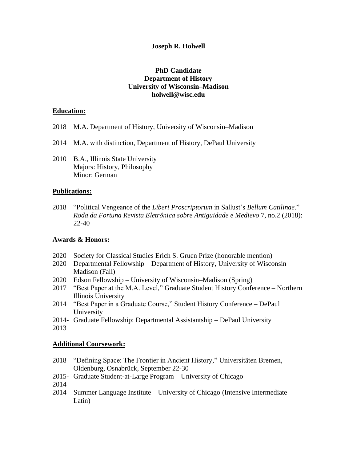#### **Joseph R. Holwell**

### **PhD Candidate Department of History University of Wisconsin–Madison holwell@wisc.edu**

#### **Education:**

- 2018 M.A. Department of History, University of Wisconsin–Madison
- 2014 M.A. with distinction, Department of History, DePaul University
- 2010 B.A., Illinois State University Majors: History, Philosophy Minor: German

### **Publications:**

2018 "Political Vengeance of the *Liberi Proscriptorum* in Sallust's *Bellum Catilinae*." *Roda da Fortuna Revista Eletrônica sobre Antiguidade e Medievo* 7, no.2 (2018): 22-40

#### **Awards & Honors:**

- 2020 Society for Classical Studies Erich S. Gruen Prize (honorable mention)
- 2020 Departmental Fellowship Department of History, University of Wisconsin– Madison (Fall)
- 2020 Edson Fellowship University of Wisconsin–Madison (Spring)
- 2017 "Best Paper at the M.A. Level," Graduate Student History Conference Northern Illinois University
- 2014 "Best Paper in a Graduate Course," Student History Conference DePaul University
- 2014- Graduate Fellowship: Departmental Assistantship DePaul University
- 2013

## **Additional Coursework:**

- 2018 "Defining Space: The Frontier in Ancient History," Universitäten Bremen, Oldenburg, Osnabrück, September 22-30
- 2015- Graduate Student-at-Large Program University of Chicago
- 2014
- 2014 Summer Language Institute University of Chicago (Intensive Intermediate Latin)